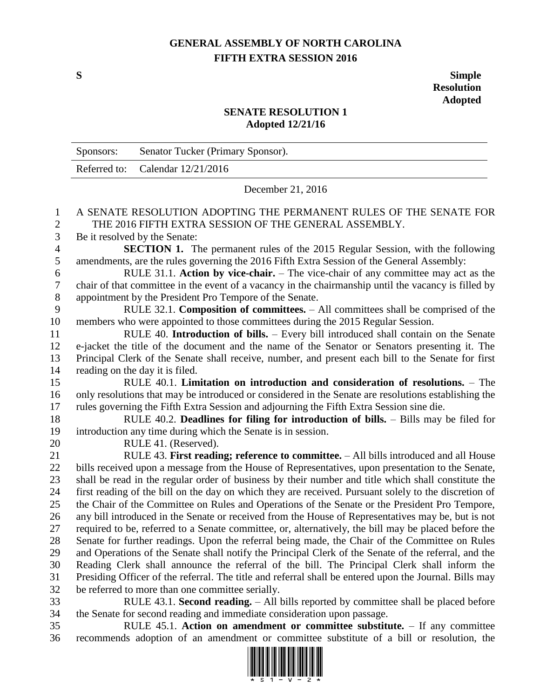## **GENERAL ASSEMBLY OF NORTH CAROLINA FIFTH EXTRA SESSION 2016**

**S Simple Resolution Adopted**

## **SENATE RESOLUTION 1 Adopted 12/21/16**

|                  | Sponsors:                                                                                                                                   | Senator Tucker (Primary Sponsor).                                                                      |
|------------------|---------------------------------------------------------------------------------------------------------------------------------------------|--------------------------------------------------------------------------------------------------------|
|                  | Referred to:                                                                                                                                | Calendar 12/21/2016                                                                                    |
|                  | December 21, 2016                                                                                                                           |                                                                                                        |
| $\mathbf{1}$     | A SENATE RESOLUTION ADOPTING THE PERMANENT RULES OF THE SENATE FOR                                                                          |                                                                                                        |
| $\overline{2}$   | THE 2016 FIFTH EXTRA SESSION OF THE GENERAL ASSEMBLY.                                                                                       |                                                                                                        |
| 3                | Be it resolved by the Senate:                                                                                                               |                                                                                                        |
| $\overline{4}$   | SECTION 1. The permanent rules of the 2015 Regular Session, with the following                                                              |                                                                                                        |
| 5                | amendments, are the rules governing the 2016 Fifth Extra Session of the General Assembly:                                                   |                                                                                                        |
| $\boldsymbol{6}$ | RULE 31.1. Action by vice-chair. - The vice-chair of any committee may act as the                                                           |                                                                                                        |
| $\boldsymbol{7}$ | chair of that committee in the event of a vacancy in the chairmanship until the vacancy is filled by                                        |                                                                                                        |
| $\,8\,$          | appointment by the President Pro Tempore of the Senate.<br>RULE 32.1. Composition of committees. - All committees shall be comprised of the |                                                                                                        |
| 9<br>10          | members who were appointed to those committees during the 2015 Regular Session.                                                             |                                                                                                        |
| 11               | RULE 40. Introduction of bills. - Every bill introduced shall contain on the Senate                                                         |                                                                                                        |
| 12               |                                                                                                                                             | e-jacket the title of the document and the name of the Senator or Senators presenting it. The          |
| 13               |                                                                                                                                             | Principal Clerk of the Senate shall receive, number, and present each bill to the Senate for first     |
| 14               |                                                                                                                                             | reading on the day it is filed.                                                                        |
| 15               | RULE $40.1$ . Limitation on introduction and consideration of resolutions. $-$ The                                                          |                                                                                                        |
| 16               |                                                                                                                                             | only resolutions that may be introduced or considered in the Senate are resolutions establishing the   |
| 17               |                                                                                                                                             | rules governing the Fifth Extra Session and adjourning the Fifth Extra Session sine die.               |
| 18               | RULE 40.2. Deadlines for filing for introduction of bills. - Bills may be filed for                                                         |                                                                                                        |
| 19               | introduction any time during which the Senate is in session.                                                                                |                                                                                                        |
| 20               |                                                                                                                                             | RULE 41. (Reserved).                                                                                   |
| 21               |                                                                                                                                             | RULE 43. First reading; reference to committee. - All bills introduced and all House                   |
| 22               |                                                                                                                                             | bills received upon a message from the House of Representatives, upon presentation to the Senate,      |
| 23               |                                                                                                                                             | shall be read in the regular order of business by their number and title which shall constitute the    |
| 24               |                                                                                                                                             | first reading of the bill on the day on which they are received. Pursuant solely to the discretion of  |
| 25               |                                                                                                                                             | the Chair of the Committee on Rules and Operations of the Senate or the President Pro Tempore,         |
| 26               |                                                                                                                                             | any bill introduced in the Senate or received from the House of Representatives may be, but is not     |
| 27               |                                                                                                                                             | required to be, referred to a Senate committee, or, alternatively, the bill may be placed before the   |
| 28               |                                                                                                                                             | Senate for further readings. Upon the referral being made, the Chair of the Committee on Rules         |
| 29               |                                                                                                                                             | and Operations of the Senate shall notify the Principal Clerk of the Senate of the referral, and the   |
| 30               |                                                                                                                                             | Reading Clerk shall announce the referral of the bill. The Principal Clerk shall inform the            |
| 31               |                                                                                                                                             | Presiding Officer of the referral. The title and referral shall be entered upon the Journal. Bills may |
| 32               | be referred to more than one committee serially.                                                                                            |                                                                                                        |
| 33               |                                                                                                                                             | RULE 43.1. Second reading. - All bills reported by committee shall be placed before                    |
| 34               |                                                                                                                                             | the Senate for second reading and immediate consideration upon passage.                                |
| 35               |                                                                                                                                             | RULE 45.1. Action on amendment or committee substitute. - If any committee                             |

recommends adoption of an amendment or committee substitute of a bill or resolution, the